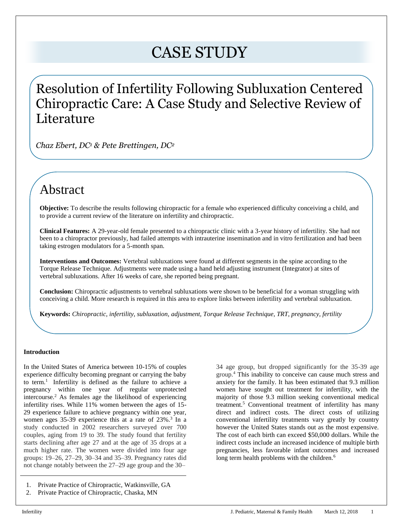# CASE STUDY

# Resolution of Infertility Following Subluxation Centered Chiropractic Care: A Case Study and Selective Review of Literature

*Chaz Ebert, DC<sup>1</sup> & Pete Brettingen, DC<sup>2</sup>*

# Abstract

**Objective:** To describe the results following chiropractic for a female who experienced difficulty conceiving a child, and to provide a current review of the literature on infertility and chiropractic.

**Clinical Features:** A 29-year-old female presented to a chiropractic clinic with a 3-year history of infertility. She had not been to a chiropractor previously, had failed attempts with intrauterine insemination and in vitro fertilization and had been taking estrogen modulators for a 5-month span.

**Interventions and Outcomes:** Vertebral subluxations were found at different segments in the spine according to the Torque Release Technique. Adjustments were made using a hand held adjusting instrument (Integrator) at sites of vertebral subluxations. After 16 weeks of care, she reported being pregnant.

**Conclusion:** Chiropractic adjustments to vertebral subluxations were shown to be beneficial for a woman struggling with conceiving a child. More research is required in this area to explore links between infertility and vertebral subluxation.

**Keywords:** *Chiropractic, infertility, subluxation, adjustment, Torque Release Technique, TRT, pregnancy, fertility*

# **Introduction**

In the United States of America between 10-15% of couples experience difficulty becoming pregnant or carrying the baby to term.<sup>1</sup> Infertility is defined as the failure to achieve a pregnancy within one year of regular unprotected intercourse.<sup>2</sup> As females age the likelihood of experiencing infertility rises. While 11% women between the ages of 15- 29 experience failure to achieve pregnancy within one year, women ages  $35-39$  experience this at a rate of  $23\%$ .<sup>3</sup> In a study conducted in 2002 researchers surveyed over 700 couples, aging from 19 to 39. The study found that fertility starts declining after age 27 and at the age of 35 drops at a much higher rate. The women were divided into four age groups: 19–26, 27–29, 30–34 and 35–39. Pregnancy rates did not change notably between the 27–29 age group and the 30–

- 1. Private Practice of Chiropractic, Watkinsville, GA
- 2. Private Practice of Chiropractic, Chaska, MN

34 age group, but dropped significantly for the 35-39 age group.<sup>4</sup> This inability to conceive can cause much stress and anxiety for the family. It has been estimated that 9.3 million women have sought out treatment for infertility, with the majority of those 9.3 million seeking conventional medical treatment.<sup>5</sup> Conventional treatment of infertility has many direct and indirect costs. The direct costs of utilizing conventional infertility treatments vary greatly by country however the United States stands out as the most expensive. The cost of each birth can exceed \$50,000 dollars. While the indirect costs include an increased incidence of multiple birth pregnancies, less favorable infant outcomes and increased long term health problems with the children.<sup>6</sup>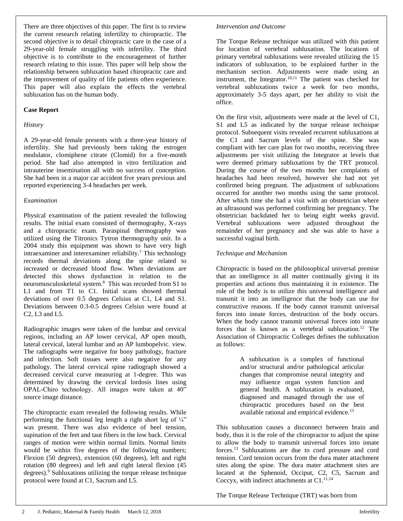There are three objectives of this paper. The first is to review the current research relating infertility to chiropractic. The second objective is to detail chiropractic care in the case of a 29-year-old female struggling with infertility. The third objective is to contribute to the encouragement of further research relating to this issue. This paper will help show the relationship between subluxation based chiropractic care and the improvement of quality of life patients often experience. This paper will also explain the effects the vertebral subluxation has on the human body.

### **Case Report**

### *History*

A 29-year-old female presents with a three-year history of infertility. She had previously been taking the estrogen modulator, clomiphene citrate (Clomid) for a five-month period. She had also attempted in vitro fertilization and intrauterine insemination all with no success of conception. She had been in a major car accident five years previous and reported experiencing 3-4 headaches per week.

#### *Examination*

Physical examination of the patient revealed the following results. The initial exam consisted of thermography, X-rays and a chiropractic exam. Paraspinal thermography was utilized using the Titronics Tytron thermography unit. In a 2004 study this equipment was shown to have very high intraexaminer and interexaminer reliability.<sup>7</sup> This technology records thermal deviations along the spine related to increased or decreased blood flow. When deviations are detected this shows dysfunction in relation to the neuromusculoskeletal system.<sup>8</sup> This was recorded from S1 to L1 and from T1 to C1. Initial scans showed thermal deviations of over 0.5 degrees Celsius at C1, L4 and S1. Deviations between 0.3-0.5 degrees Celsius were found at C2, L3 and L5.

Radiographic images were taken of the lumbar and cervical regions, including an AP lower cervical, AP open mouth, lateral cervical, lateral lumbar and an AP lumbopelvic. view. The radiographs were negative for bony pathology, fracture and infection. Soft tissues were also negative for any pathology. The lateral cervical spine radiograph showed a decreased cervical curve measuring at 1-degree. This was determined by drawing the cervical lordosis lines using OPAL-Chiro technology. All images were taken at 40" source image distance.

The chiropractic exam revealed the following results. While performing the functional leg length a right short leg of  $\frac{1}{4}$ " was present. There was also evidence of heel tension, supination of the feet and taut fibers in the low back. Cervical ranges of motion were within normal limits. Normal limits would be within five degrees of the following numbers; Flexion (50 degrees), extension (60 degrees), left and right rotation (80 degrees) and left and right lateral flexion (45 degrees).<sup>9</sup> Subluxations utilizing the torque release technique protocol were found at C1, Sacrum and L5.

#### *Intervention and Outcome*

The Torque Release technique was utilized with this patient for location of vertebral subluxation. The locations of primary vertebral subluxations were revealed utilizing the 15 indicators of subluxation, to be explained further in the mechanism section. Adjustments were made using an instrument, the Integrator.<sup>10,11</sup> The patient was checked for vertebral subluxations twice a week for two months, approximately 3-5 days apart, per her ability to visit the office.

On the first visit, adjustments were made at the level of C1, S1 and L5 as indicated by the torque release technique protocol. Subsequent visits revealed recurrent subluxations at the C1 and Sacrum levels of the spine. She was compliant with her care plan for two months, receiving three adjustments per visit utilizing the Integrator at levels that were deemed primary subluxations by the TRT protocol. During the course of the two months her complaints of headaches had been resolved, however she had not yet confirmed being pregnant. The adjustment of subluxations occurred for another two months using the same protocol. After which time she had a visit with an obstetrician where an ultrasound was performed confirming her pregnancy. The obstetrician backdated her to being eight weeks gravid. Vertebral subluxations were adjusted throughout the remainder of her pregnancy and she was able to have a successful vaginal birth.

## *Technique and Mechanism*

Chiropractic is based on the philosophical universal premise that an intelligence in all matter continually giving it its properties and actions thus maintaining it in existence. The role of the body is to utilize this universal intelligence and transmit it into an intelligence that the body can use for constructive reasons. If the body cannot transmit universal forces into innate forces, destruction of the body occurs. When the body cannot transmit universal forces into innate forces that is known as a vertebral subluxation.<sup>12</sup> The Association of Chiropractic Colleges defines the subluxation as follows:

> A subluxation is a complex of functional and/or structural and/or pathological articular changes that compromise neural integrity and may influence organ system function and general health. A subluxation is evaluated, diagnosed and managed through the use of chiropractic procedures based on the best available rational and empirical evidence.<sup>13</sup>

This subluxation causes a disconnect between brain and body, thus it is the role of the chiropractor to adjust the spine to allow the body to transmit universal forces into innate forces.<sup>13</sup> Subluxations are due to cord pressure and cord tension. Cord tension occurs from the dura mater attachment sites along the spine. The dura mater attachment sites are located at the Sphenoid, Occiput, C2, C5, Sacrum and Coccyx, with indirect attachments at C1.<sup>11,14</sup>

The Torque Release Technique (TRT) was born from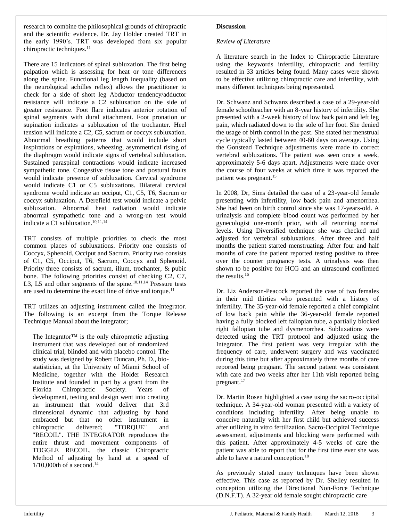research to combine the philosophical grounds of chiropractic and the scientific evidence. Dr. Jay Holder created TRT in the early 1990's. TRT was developed from six popular chiropractic techniques.<sup>11</sup>

There are 15 indicators of spinal subluxation. The first being palpation which is assessing for heat or tone differences along the spine. Functional leg length inequality (based on the neurological achilles reflex) allows the practitioner to check for a side of short leg Abductor tendency/adductor resistance will indicate a C2 subluxation on the side of greater resistance. Foot flare indicates anterior rotation of spinal segments with dural attachment. Foot pronation or supination indicates a subluxation of the trochanter. Heel tension will indicate a C2, C5, sacrum or coccyx subluxation. Abnormal breathing patterns that would include short inspirations or expirations, wheezing, asymmetrical rising of the diaphragm would indicate signs of vertebral subluxation. Sustained paraspinal contractions would indicate increased sympathetic tone. Congestive tissue tone and postural faults would indicate presence of subluxation. Cervical syndrome would indicate C1 or C5 subluxations. Bilateral cervical syndrome would indicate an occiput, C1, C5, T6, Sacrum or coccyx subluxation. A Derefield test would indicate a pelvic subluxation. Abnormal heat radiation would indicate abnormal sympathetic tone and a wrong-un test would indicate a C1 subluxation.<sup>10,11,14</sup>

TRT consists of multiple priorities to check the most common places of subluxations. Priority one consists of Coccyx, Sphenoid, Occiput and Sacrum. Priority two consists of C1, C5, Occiput, T6, Sacrum, Coccyx and Sphenoid. Priority three consists of sacrum, ilium, trochanter, & pubic bone. The following priorities consist of checking C2, C7, L3, L5 and other segments of the spine.<sup>10,11,14</sup> Pressure tests are used to determine the exact line of drive and torque.<sup>11</sup>

TRT utilizes an adjusting instrument called the Integrator. The following is an excerpt from the Torque Release Technique Manual about the integrator;

The Integrator™ is the only chiropractic adjusting instrument that was developed out of randomized clinical trial, blinded and with placebo control. The study was designed by Robert Duncan, Ph. D., biostatistician, at the University of Miami School of Medicine, together with the Holder Research Institute and founded in part by a grant from the Florida Chiropractic Society. Years of development, testing and design went into creating an instrument that would deliver that 3rd dimensional dynamic that adjusting by hand embraced but that no other instrument in chiropractic delivered; "TORQUE" and "RECOIL". THE INTEGRATOR reproduces the entire thrust and movement components of TOGGLE RECOIL, the classic Chiropractic Method of adjusting by hand at a speed of  $1/10,000$ th of a second.<sup>14</sup>

# **Discussion**

# *Review of Literature*

A literature search in the Index to Chiropractic Literature using the keywords infertility, chiropractic and fertility resulted in 33 articles being found. Many cases were shown to be effective utilizing chiropractic care and infertility, with many different techniques being represented.

Dr. Schwanz and Schwanz described a case of a 29-year-old female schoolteacher with an 8-year history of infertility. She presented with a 2-week history of low back pain and left leg pain, which radiated down to the sole of her foot. She denied the usage of birth control in the past. She stated her menstrual cycle typically lasted between 40-60 days on average. Using the Gonstead Technique adjustments were made to correct vertebral subluxations. The patient was seen once a week, approximately 5-6 days apart. Adjustments were made over the course of four weeks at which time it was reported the patient was pregnant.<sup>15</sup>

In 2008, Dr, Sims detailed the case of a 23-year-old female presenting with infertility, low back pain and amenorrhea. She had been on birth control since she was 17-years-old. A urinalysis and complete blood count was performed by her gynecologist one-month prior, with all returning normal levels. Using Diversified technique she was checked and adjusted for vertebral subluxations. After three and half months the patient started menstruating. After four and half months of care the patient reported testing positive to three over the counter pregnancy tests. A urinalysis was then shown to be positive for HCG and an ultrasound confirmed the results.<sup>16</sup>

Dr. Liz Anderson-Peacock reported the case of two females in their mid thirties who presented with a history of infertility. The 35-year-old female reported a chief complaint of low back pain while the 36-year-old female reported having a fully blocked left fallopian tube, a partially blocked right fallopian tube and dysmenorrhea. Subluxations were detected using the TRT protocol and adjusted using the Integrator. The first patient was very irregular with the frequency of care, underwent surgery and was vaccinated during this time but after approximately three months of care reported being pregnant. The second patient was consistent with care and two weeks after her 11th visit reported being pregnant.<sup>17</sup>

Dr. Martin Rosen highlighted a case using the sacro-occipital technique. A 34-year-old woman presented with a variety of conditions including infertility. After being unable to conceive naturally with her first child but achieved success after utilizing in vitro fertilization. Sacro-Occipital Technique assessment, adjustments and blocking were performed with this patient. After approximately 4-5 weeks of care the patient was able to report that for the first time ever she was able to have a natural conception.<sup>18</sup>

As previously stated many techniques have been shown effective. This case as reported by Dr. Shelley resulted in conception utilizing the Directional Non-Force Technique (D.N.F.T). A 32-year old female sought chiropractic care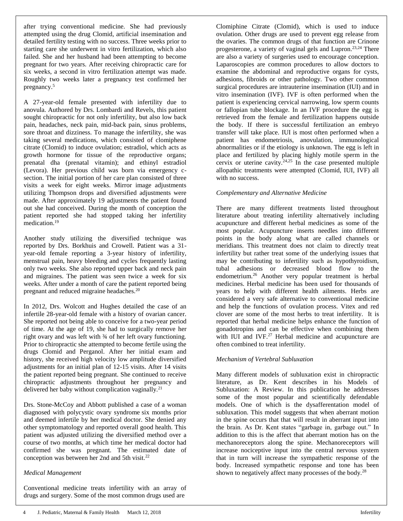after trying conventional medicine. She had previously attempted using the drug Clomid, artificial insemination and detailed fertility testing with no success. Three weeks prior to starting care she underwent in vitro fertilization, which also failed. She and her husband had been attempting to become pregnant for two years. After receiving chiropractic care for six weeks, a second in vitro fertilization attempt was made. Roughly two weeks later a pregnancy test confirmed her pregnancy.<sup>5</sup>

A 27-year-old female presented with infertility due to anovula. Authored by Drs. Lombardi and Revels, this patient sought chiropractic for not only infertility, but also low back pain, headaches, neck pain, mid-back pain, sinus problems, sore throat and dizziness. To manage the infertility, she was taking several medications, which consisted of clomiphene citrate (Clomid) to induce ovulation; estradiol, which acts as growth hormone for tissue of the reproductive organs; prenatal dha (prenatal vitamin); and ethinyl estradiol (Levora). Her previous child was born via emergency csection. The initial portion of her care plan consisted of three visits a week for eight weeks. Mirror image adjustments utilizing Thompson drops and diversified adjustments were made. After approximately 19 adjustments the patient found out she had conceived. During the month of conception the patient reported she had stopped taking her infertility medication.<sup>19</sup>

Another study utilizing the diversified technique was reported by Drs. Borkhuis and Crowell. Patient was a 31 year-old female reporting a 3-year history of infertility, menstrual pain, heavy bleeding and cycles frequently lasting only two weeks. She also reported upper back and neck pain and migraines. The patient was seen twice a week for six weeks. After under a month of care the patient reported being pregnant and reduced migraine headaches.<sup>20</sup>

In 2012, Drs. Wolcott and Hughes detailed the case of an infertile 28-year-old female with a history of ovarian cancer. She reported not being able to conceive for a two-year period of time. At the age of 19, she had to surgically remove her right ovary and was left with ¾ of her left ovary functioning. Prior to chiropractic she attempted to become fertile using the drugs Clomid and Perganol. After her initial exam and history, she received high velocity low amplitude diversified adjustments for an initial plan of 12-15 visits. After 14 visits the patient reported being pregnant. She continued to receive chiropractic adjustments throughout her pregnancy and delivered her baby without complication vaginally.<sup>21</sup>

Drs. Stone-McCoy and Abbott published a case of a woman diagnosed with polycystic ovary syndrome six months prior and deemed infertile by her medical doctor. She denied any other symptomatology and reported overall good health. This patient was adjusted utilizing the diversified method over a course of two months, at which time her medical doctor had confirmed she was pregnant. The estimated date of conception was between her 2nd and 5th visit.<sup>22</sup>

#### *Medical Management*

Conventional medicine treats infertility with an array of drugs and surgery. Some of the most common drugs used are

Clomiphine Citrate (Clomid), which is used to induce ovulation. Other drugs are used to prevent egg release from the ovaries. The common drugs of that function are Crinone progesterone, a variety of vaginal gels and Lupron.<sup>23,24</sup> There are also a variety of surgeries used to encourage conception. Laparoscopies are common procedures to allow doctors to examine the abdominal and reproductive organs for cysts, adhesions, fibroids or other pathology. Two other common surgical procedures are intrauterine insemination (IUI) and in vitro insemination (IVF). IVF is often performed when the patient is experiencing cervical narrowing, low sperm counts or fallopian tube blockage. In an IVF procedure the egg is retrieved from the female and fertilization happens outside the body. If there is successful fertilization an embryo transfer will take place. IUI is most often performed when a patient has endometriosis, anovulation, immunological abnormalities or if the etiology is unknown. The egg is left in place and fertilized by placing highly motile sperm in the cervix or uterine cavity. $24,25$  In the case presented multiple allopathic treatments were attempted (Clomid, IUI, IVF) all with no success.

#### *Complementary and Alternative Medicine*

There are many different treatments listed throughout literature about treating infertility alternatively including acupuncture and different herbal medicines as some of the most popular. Acupuncture inserts needles into different points in the body along what are called channels or meridians. This treatment does not claim to directly treat infertility but rather treat some of the underlying issues that may be contributing to infertility such as hypothyroidism, tubal adhesions or decreased blood flow to the endometrium.<sup>26</sup> Another very popular treatment is herbal medicines. Herbal medicine has been used for thousands of years to help with different health ailments. Herbs are considered a very safe alternative to conventional medicine and help the functions of ovulation process. Vitex and red clover are some of the most herbs to treat infertility. It is reported that herbal medicine helps enhance the function of gonadotropins and can be effective when combining them with IUI and IVF. $27$  Herbal medicine and acupuncture are often combined to treat infertility.

#### *Mechanism of Vertebral Subluxation*

Many different models of subluxation exist in chiropractic literature, as Dr. Kent describes in his Models of Subluxation: A Review. In this publication he addresses some of the most popular and scientifically defendable models. One of which is the dysafferentation model of subluxation. This model suggests that when aberrant motion in the spine occurs that that will result in aberrant input into the brain. As Dr. Kent states "garbage in, garbage out." In addition to this is the affect that aberrant motion has on the mechanoreceptors along the spine. Mechanoreceptors will increase nociceptive input into the central nervous system that in turn will increase the sympathetic response of the body. Increased sympathetic response and tone has been shown to negatively affect many processes of the body.<sup>28</sup>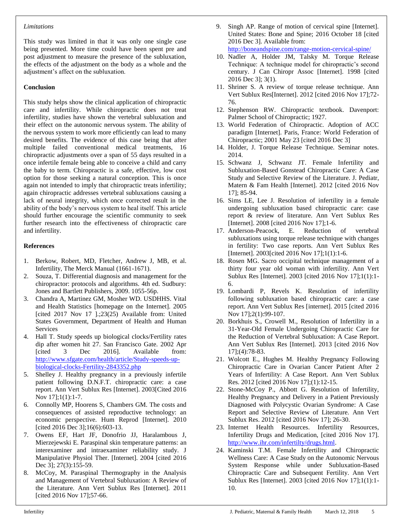#### *Limitations*

This study was limited in that it was only one single case being presented. More time could have been spent pre and post adjustment to measure the presence of the subluxation, the effects of the adjustment on the body as a whole and the adjustment's affect on the subluxation.

# **Conclusion**

This study helps show the clinical application of chiropractic care and infertility. While chiropractic does not treat infertility, studies have shown the vertebral subluxation and their effect on the autonomic nervous system. The ability of the nervous system to work more efficiently can lead to many desired benefits. The evidence of this case being that after multiple failed conventional medical treatments, 16 chiropractic adjustments over a span of 55 days resulted in a once infertile female being able to conceive a child and carry the baby to term. Chiropractic is a safe, effective, low cost option for those seeking a natural conception. This is once again not intended to imply that chiropractic treats infertility; again chiropractic addresses vertebral subluxations causing a lack of neural integrity, which once corrected result in the ability of the body's nervous system to heal itself. This article should further encourage the scientific community to seek further research into the effectiveness of chiropractic care and infertility.

# **References**

- 1. Berkow, Robert, MD, Fletcher, Andrew J, MB, et al. Infertility, The Merck Manual (1661-1671).
- 2. Souza, T. Differential diagnosis and management for the chiropractor: protocols and algorithms. 4th ed. Sudbury: Jones and Bartlett Publishers, 2009. 1055-56p.
- 3. Chandra A, Martinez GM, Mosher WD. USDHHS. Vital and Health Statistics [homepage on the Internet]. 2005 [cited 2017 Nov 17 ].;23(25) Available from: United States Government, Department of Health and Human Services
- 4. Hall T. Study speeds up biological clocks/Fertility rates dip after women hit 27. San Francisco Gate. 2002 Apr [cited 3 Dec 2016]. Available from: [http://www.sfgate.com/health/article/Study-speeds-up](http://www.sfgate.com/health/article/Study-speeds-up-biological-clocks-Fertility-2843352.php)[biological-clocks-Fertility-2843352.php](http://www.sfgate.com/health/article/Study-speeds-up-biological-clocks-Fertility-2843352.php)
- 5. Shelley J. Healthy pregnancy in a previously infertile patient following D.N.F.T. chiropractic care: a case report. Ann Vert Sublux Res [Internet]. 2003[Cited 2016 Nov 17];1(1):1-7.
- 6. Connolly MP, Hoorens S, Chambers GM. The costs and consequences of assisted reproductive technology: an economic perspective. Hum Reprod [Internet]. 2010 [cited 2016 Dec 3];16(6):603-13.
- 7. Owens EF, Hart JF, Donofrio JJ, Haralambous J, Mierzejewski E. Paraspinal skin temperature patterns: an interexaminer and intraexaminer reliability study. J Manipulative Physiol Ther. [Internet]. 2004 [cited 2016 Dec 3]; 27(3):155-59.
- 8. McCoy, M. Paraspinal Thermography in the Analysis and Management of Vertebral Subluxation: A Review of the Literature. Ann Vert Sublux Res [Internet]. 2011 [cited 2016 Nov 17];57-66.

9. Singh AP. Range of motion of cervical spine [Internet]. United States: Bone and Spine; 2016 October 18 [cited 2016 Dec 3]. Available from:

<http://boneandspine.com/range-motion-cervical-spine/>

- 10. Nadler A, Holder JM, Talsky M. Torque Release Technique: A technique model for chiropractic's second century. J Can Chiropr Assoc [Internet]. 1998 [cited 2016 Dec 3]; 3(1).
- 11. Shriner S. A review of torque release technique. Ann Vert Sublux Res[Internet]. 2012 [cited 2016 Nov 17];72- 76.
- 12. Stephenson RW. Chiropractic textbook. Davenport: Palmer School of Chiropractic; 1927.
- 13. World Federation of Chiropractic. Adoption of ACC paradigm [Internet]. Paris, France: World Federation of Chiropractic; 2001 May 23 [cited 2016 Dec 3]
- 14. Holder, J. Torque Release Technique. Seminar notes. 2014.
- 15. Schwanz J, Schwanz JT. Female Infertility and Subluxation-Based Gonstead Chiropractic Care: A Case Study and Selective Review of the Literature. J. Pediatr, Matern & Fam Health [Internet]. 2012 [cited 2016 Nov 17]; 85-94.
- 16. Sims LE, Lee J. Resolution of infertility in a female undergoing subluxation based chiropractic care: case report & review of literature. Ann Vert Sublux Res [Internet]. 2008 [cited 2016 Nov 17];1-6.
- 17. Anderson-Peacock, E. Reduction of vertebral subluxations using torque release technique with changes in fertility: Two case reports. Ann Vert Sublux Res [Internet]. 2003[cited 2016 Nov 17];1(1):1-6.
- 18. Rosen MG. Sacro occipital technique management of a thirty four year old woman with infertility. Ann Vert Sublux Res [Internet]. 2003 [cited 2016 Nov 17];1(1):1- 6.
- 19. Lombardi P, Revels K. Resolution of infertility following subluxation based chiropractic care: a case report. Ann Vert Sublux Res [internet]. 2015 [cited 2016 Nov 17];2(1):99-107.
- 20. Borkhuis S., Crowell M., Resolution of Infertility in a 31-Year-Old Female Undergoing Chiropractic Care for the Reduction of Vertebral Subluxation: A Case Report. Ann Vert Sublux Res [Internet]. 2013 [cited 2016 Nov 17];(4):78-83.
- 21. Wolcott E., Hughes M. Healthy Pregnancy Following Chiropractic Care in Ovarian Cancer Patient After 2 Years of Infertility: A Case Report. Ann Vert Sublux Res. 2012 [cited 2016 Nov 17];(1):12-15.
- 22. Stone-McCoy P., Abbott G. Resolution of Infertility, Healthy Pregnancy and Delivery in a Patient Previously Diagnosed with Polycystic Ovarian Syndrome: A Case Report and Selective Review of Literature. Ann Vert Sublux Res. 2012 [cited 2016 Nov 17]; 26-30.
- 23. Internet Health Resources. Infertility Resources, Infertility Drugs and Medication, [cited 2016 Nov 17]. [http://www.ihr.com/infertilty/drugs.html.](http://www.ihr.com/infertilty/drugs.html)
- 24. Kaminski T.M. Female Infertility and Chiropractic Wellness Care: A Case Study on the Autonomic Nervous System Response while under Subluxation-Based Chiropractic Care and Subsequent Fertility. Ann Vert Sublux Res [Internet]. 2003 [cited 2016 Nov 17];1(1):1- 10.